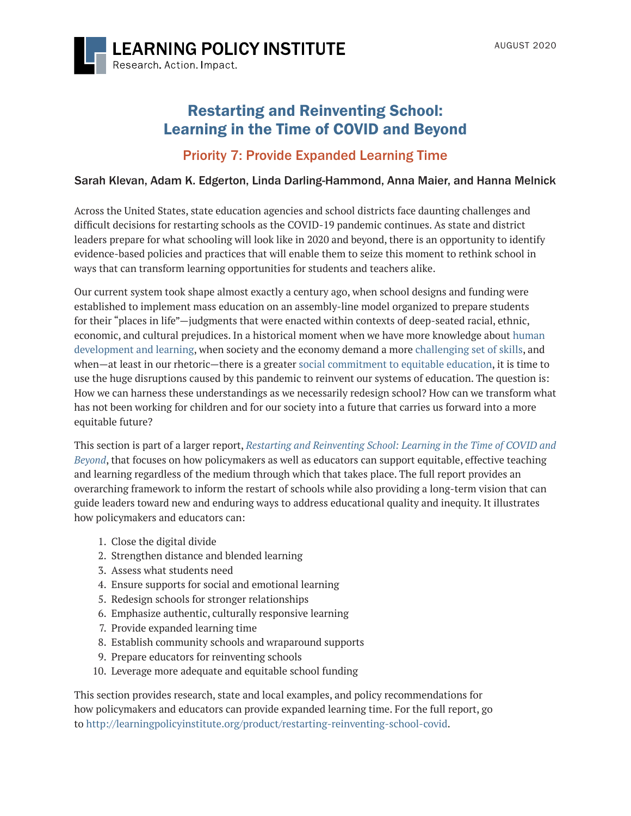

# [Restarting and Reinventing School:](#page-0-0) Learning in the Time of COVID and Beyond

## Priority 7: Provide Expanded Learning Time

## Sarah Klevan, Adam K. Edgerton, Linda Darling-Hammond, Anna Maier, and Hanna Melnick

Across the United States, state education agencies and school districts face daunting challenges and difficult decisions for restarting schools as the COVID-19 pandemic continues. As state and district leaders prepare for what schooling will look like in 2020 and beyond, there is an opportunity to identify evidence-based policies and practices that will enable them to seize this moment to rethink school in ways that can transform learning opportunities for students and teachers alike.

Our current system took shape almost exactly a century ago, when school designs and funding were established to implement mass education on an assembly-line model organized to prepare students for their "places in life"—judgments that were enacted within contexts of deep-seated racial, ethnic, economic, and cultural prejudices. In a historical moment when we have more knowledge about [human](https://www.soldalliance.org/)  [development and learning](https://www.soldalliance.org/), when society and the economy demand a more [challenging set of skills](https://www.battelleforkids.org/networks/p21), and when—at least in our rhetoric—there is a greater [social commitment to equitable education,](https://learningpolicyinstitute.org/blog/racial-justice-educational-equity) it is time to use the huge disruptions caused by this pandemic to reinvent our systems of education. The question is: How we can harness these understandings as we necessarily redesign school? How can we transform what has not been working for children and for our society into a future that carries us forward into a more equitable future?

This section is part of a larger report, *[Restarting and Reinventing School: Learning in the Time of COVID and](http://learningpolicyinstitute.org/product/restarting-reinventing-school-covid)  [Beyond](http://learningpolicyinstitute.org/product/restarting-reinventing-school-covid)*, that focuses on how policymakers as well as educators can support equitable, effective teaching and learning regardless of the medium through which that takes place. The full report provides an overarching framework to inform the restart of schools while also providing a long-term vision that can guide leaders toward new and enduring ways to address educational quality and inequity. It illustrates how policymakers and educators can:

- 1. Close the digital divide
- 2. Strengthen distance and blended learning
- 3. Assess what students need
- 4. Ensure supports for social and emotional learning
- 5. Redesign schools for stronger relationships
- 6. Emphasize authentic, culturally responsive learning
- 7. Provide expanded learning time
- 8. Establish community schools and wraparound supports
- 9. Prepare educators for reinventing schools
- 10. Leverage more adequate and equitable school funding

<span id="page-0-0"></span>This section provides research, state and local examples, and policy recommendations for how policymakers and educators can provide expanded learning time. For the full report, go to <http://learningpolicyinstitute.org/product/restarting-reinventing-school-covid>.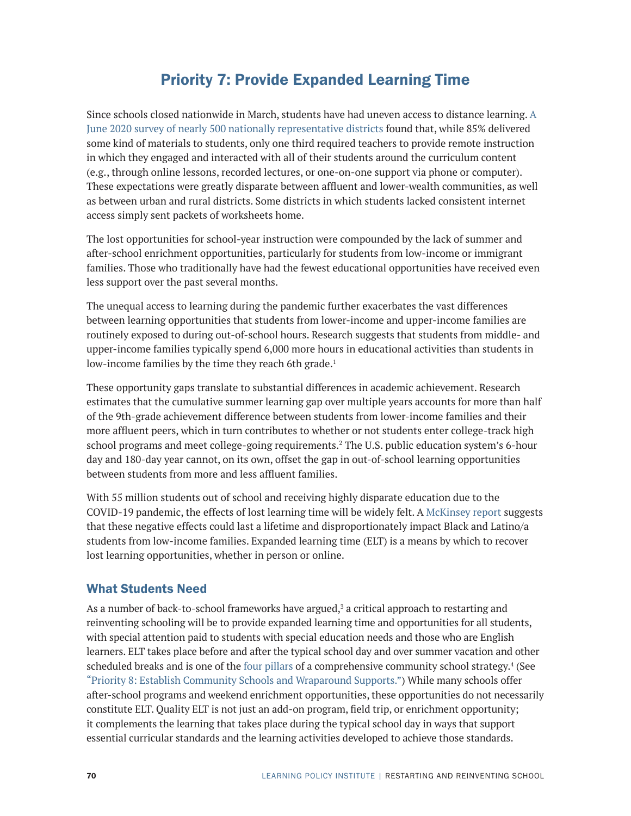# Priority 7: Provide Expanded Learning Time

Since schools closed nationwide in March, students have had uneven access to distance learning. [A](https://www.crpe.org/thelens/too-many-schools-leave-learning-chance-during-pandemic)  [June 2020 survey of nearly 500 nationally representative districts f](https://www.crpe.org/thelens/too-many-schools-leave-learning-chance-during-pandemic)ound that, while 85% delivered some kind of materials to students, only one third required teachers to provide remote instruction in which they engaged and interacted with all of their students around the curriculum content (e.g., through online lessons, recorded lectures, or one-on-one support via phone or computer). These expectations were greatly disparate between affluent and lower-wealth communities, as well as between urban and rural districts. Some districts in which students lacked consistent internet access simply sent packets of worksheets home.

The lost opportunities for school-year instruction were compounded by the lack of summer and after-school enrichment opportunities, particularly for students from low-income or immigrant families. Those who traditionally have had the fewest educational opportunities have received even less support over the past several months.

The unequal access to learning during the pandemic further exacerbates the vast differences between learning opportunities that students from lower-income and upper-income families are routinely exposed to during out-of-school hours. Research suggests that students from middle- and upper-income families typically spend 6,000 more hours in educational activities than students in low-income families by the time they reach 6th grade.<sup>1</sup>

These opportunity gaps translate to substantial differences in academic achievement. Research estimates that the cumulative summer learning gap over multiple years accounts for more than half of the 9th-grade achievement difference between students from lower-income families and their more affluent peers, which in turn contributes to whether or not students enter college-track high school programs and meet college-going requirements.<sup>2</sup> The U.S. public education system's 6-hour day and 180-day year cannot, on its own, offset the gap in out-of-school learning opportunities between students from more and less affluent families.

With 55 million students out of school and receiving highly disparate education due to the COVID-19 pandemic, the effects of lost learning time will be widely felt. A [McKinsey report](https://www.mckinsey.com/industries/public-sector/our-insights/covid-19-and-student-learning-in-the-united-states-the-hurt-could-last-a-lifetime) suggests that these negative effects could last a lifetime and disproportionately impact Black and Latino/a students from low-income families. Expanded learning time (ELT) is a means by which to recover lost learning opportunities, whether in person or online.

## What Students Need

As a number of back-to-school frameworks have argued,<sup>3</sup> a critical approach to restarting and reinventing schooling will be to provide expanded learning time and opportunities for all students, with special attention paid to students with special education needs and those who are English learners. ELT takes place before and after the typical school day and over summer vacation and other scheduled breaks and is one of the [four pillars](https://learningpolicyinstitute.org/product/community-schools-playbook) of a comprehensive community school strategy.<sup>4</sup> (See "Priority 8: Establish Community Schools and Wraparound Supports.") While many schools offer after-school programs and weekend enrichment opportunities, these opportunities do not necessarily constitute ELT. Quality ELT is not just an add-on program, field trip, or enrichment opportunity; it complements the learning that takes place during the typical school day in ways that support essential curricular standards and the learning activities developed to achieve those standards.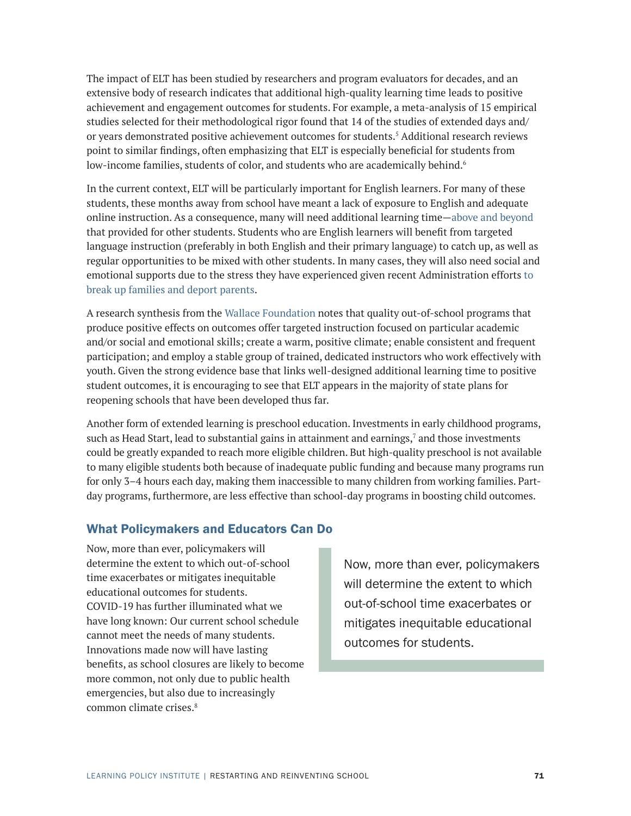The impact of ELT has been studied by researchers and program evaluators for decades, and an extensive body of research indicates that additional high-quality learning time leads to positive achievement and engagement outcomes for students. For example, a meta-analysis of 15 empirical studies selected for their methodological rigor found that 14 of the studies of extended days and/ or years demonstrated positive achievement outcomes for students.<sup>5</sup> Additional research reviews point to similar findings, often emphasizing that ELT is especially beneficial for students from low-income families, students of color, and students who are academically behind.<sup>6</sup>

In the current context, ELT will be particularly important for English learners. For many of these students, these months away from school have meant a lack of exposure to English and adequate online instruction. As a consequence, many will need additional learning time[—above and beyond](https://eric.ed.gov/?id=ED581269) that provided for other students. Students who are English learners will benefit from targeted language instruction (preferably in both English and their primary language) to catch up, as well as regular opportunities to be mixed with other students. In many cases, they will also need social and emotional supports due to the stress they have experienced given recent Administration efforts [to](https://www.urban.org/sites/default/files/alfresco/publication-exhibits/2000405/2000405-Implications-of-Immigration-Enforcement-Activities-for-the-Well-Being-of-Children-in-Immigrant-Families.pdf)  [break up families and deport](https://www.urban.org/sites/default/files/alfresco/publication-exhibits/2000405/2000405-Implications-of-Immigration-Enforcement-Activities-for-the-Well-Being-of-Children-in-Immigrant-Families.pdf) parents.

A research synthesis from the [Wallace Foundation](https://www.wallacefoundation.org/knowledge-center/Documents/The-Value-of-Out-of-School-Time-Programs.pdf) notes that quality out-of-school programs that produce positive effects on outcomes offer targeted instruction focused on particular academic and/or social and emotional skills; create a warm, positive climate; enable consistent and frequent participation; and employ a stable group of trained, dedicated instructors who work effectively with youth. Given the strong evidence base that links well-designed additional learning time to positive student outcomes, it is encouraging to see that ELT appears in the majority of state plans for reopening schools that have been developed thus far.

Another form of extended learning is preschool education. Investments in early childhood programs, such as Head Start, lead to substantial gains in attainment and earnings, $7$  and those investments could be greatly expanded to reach more eligible children. But high-quality preschool is not available to many eligible students both because of inadequate public funding and because many programs run for only 3–4 hours each day, making them inaccessible to many children from working families. Partday programs, furthermore, are less effective than school-day programs in boosting child outcomes.

## What Policymakers and Educators Can Do

Now, more than ever, policymakers will determine the extent to which out-of-school time exacerbates or mitigates inequitable educational outcomes for students. COVID-19 has further illuminated what we have long known: Our current school schedule cannot meet the needs of many students. Innovations made now will have lasting benefits, as school closures are likely to become more common, not only due to public health emergencies, but also due to increasingly common climate crises.8

Now, more than ever, policymakers will determine the extent to which out-of-school time exacerbates or mitigates inequitable educational outcomes for students.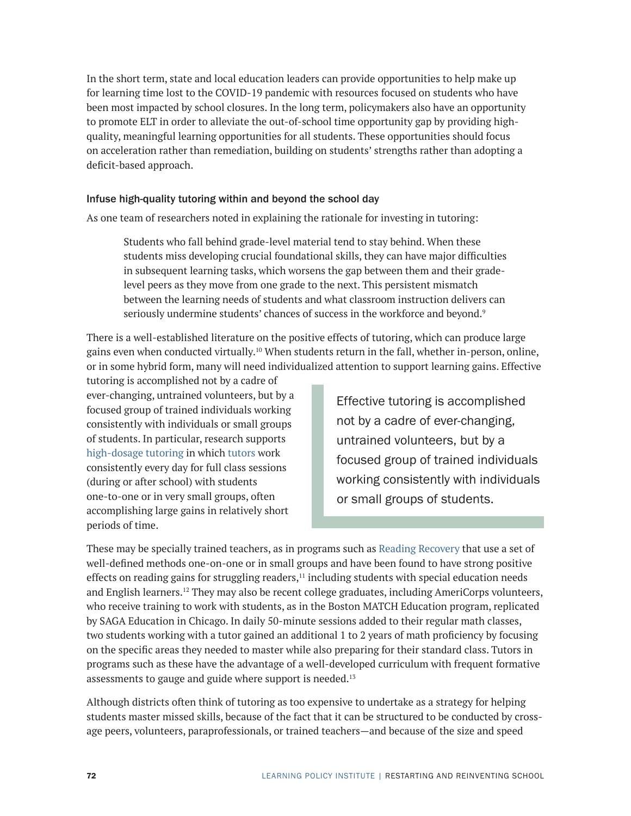In the short term, state and local education leaders can provide opportunities to help make up for learning time lost to the COVID-19 pandemic with resources focused on students who have been most impacted by school closures. In the long term, policymakers also have an opportunity to promote ELT in order to alleviate the out-of-school time opportunity gap by providing highquality, meaningful learning opportunities for all students. These opportunities should focus on acceleration rather than remediation, building on students' strengths rather than adopting a deficit-based approach.

### Infuse high-quality tutoring within and beyond the school day

As one team of researchers noted in explaining the rationale for investing in tutoring:

Students who fall behind grade-level material tend to stay behind. When these students miss developing crucial foundational skills, they can have major difficulties in subsequent learning tasks, which worsens the gap between them and their gradelevel peers as they move from one grade to the next. This persistent mismatch between the learning needs of students and what classroom instruction delivers can seriously undermine students' chances of success in the workforce and beyond.<sup>9</sup>

There is a well-established literature on the positive effects of tutoring, which can produce large gains even when conducted virtually.10 When students return in the fall, whether in-person, online, or in some hybrid form, many will need individualized attention to support learning gains. Effective

tutoring is accomplished not by a cadre of ever-changing, untrained volunteers, but by a focused group of trained individuals working consistently with individuals or small groups of students. In particular, research supports [high-dosage tutoring](https://www.brookings.edu/blog/brown-center-chalkboard/2020/05/21/getting-tutoring-right-to-reduce-covid-19-learning-loss/) in which [tutors](https://www.nber.org/papers/w22130) work consistently every day for full class sessions (during or after school) with students one-to-one or in very small groups, often accomplishing large gains in relatively short periods of time.

Effective tutoring is accomplished not by a cadre of ever-changing, untrained volunteers, but by a focused group of trained individuals working consistently with individuals or small groups of students.

These may be specially trained teachers, as in programs such as [Reading Recovery](https://readingrecovery.org/) that use a set of well-defined methods one-on-one or in small groups and have been found to have strong positive effects on reading gains for struggling readers, $<sup>11</sup>$  including students with special education needs</sup> and English learners.12 They may also be recent college graduates, including AmeriCorps volunteers, who receive training to work with students, as in the Boston MATCH Education program, replicated by SAGA Education in Chicago. In daily 50-minute sessions added to their regular math classes, two students working with a tutor gained an additional 1 to 2 years of math proficiency by focusing on the specific areas they needed to master while also preparing for their standard class. Tutors in programs such as these have the advantage of a well-developed curriculum with frequent formative assessments to gauge and guide where support is needed.<sup>13</sup>

Although districts often think of tutoring as too expensive to undertake as a strategy for helping students master missed skills, because of the fact that it can be structured to be conducted by crossage peers, volunteers, paraprofessionals, or trained teachers—and because of the size and speed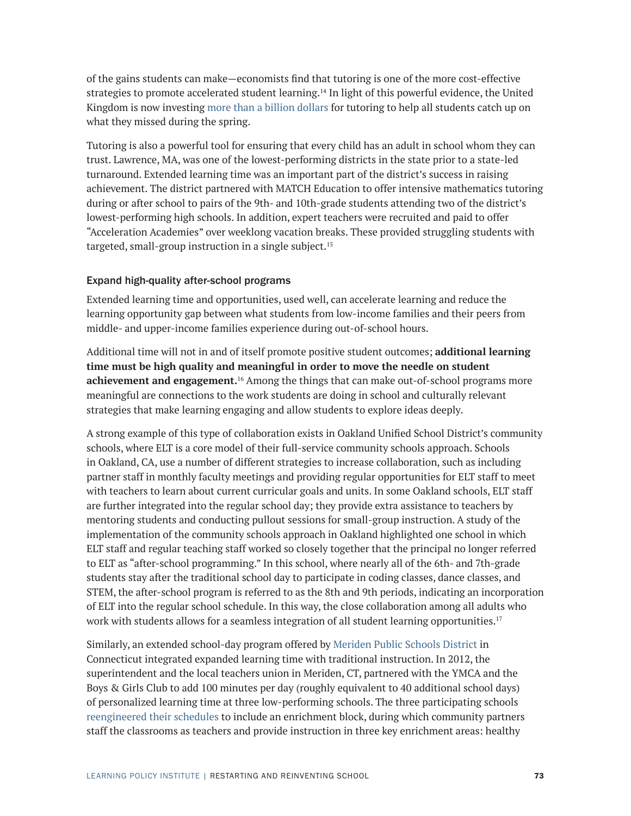of the gains students can make—economists find that tutoring is one of the more cost-effective strategies to promote accelerated student learning.14 In light of this powerful evidence, the United Kingdom is now investing [more than a billion dollars](https://www.bbc.com/news/education-53100881) for tutoring to help all students catch up on what they missed during the spring.

Tutoring is also a powerful tool for ensuring that every child has an adult in school whom they can trust. Lawrence, MA, was one of the lowest-performing districts in the state prior to a state-led turnaround. Extended learning time was an important part of the district's success in raising achievement. The district partnered with MATCH Education to offer intensive mathematics tutoring during or after school to pairs of the 9th- and 10th-grade students attending two of the district's lowest-performing high schools. In addition, expert teachers were recruited and paid to offer "Acceleration Academies" over weeklong vacation breaks. These provided struggling students with targeted, small-group instruction in a single subject.15

#### Expand high-quality after-school programs

Extended learning time and opportunities, used well, can accelerate learning and reduce the learning opportunity gap between what students from low-income families and their peers from middle- and upper-income families experience during out-of-school hours.

Additional time will not in and of itself promote positive student outcomes; **additional learning time must be high quality and meaningful in order to move the needle on student achievement and engagement.**16 Among the things that can make out-of-school programs more meaningful are connections to the work students are doing in school and culturally relevant strategies that make learning engaging and allow students to explore ideas deeply.

A strong example of this type of collaboration exists in Oakland Unified School District's community schools, where ELT is a core model of their full-service community schools approach. Schools in Oakland, CA, use a number of different strategies to increase collaboration, such as including partner staff in monthly faculty meetings and providing regular opportunities for ELT staff to meet with teachers to learn about current curricular goals and units. In some Oakland schools, ELT staff are further integrated into the regular school day; they provide extra assistance to teachers by mentoring students and conducting pullout sessions for small-group instruction. A study of the implementation of the community schools approach in Oakland highlighted one school in which ELT staff and regular teaching staff worked so closely together that the principal no longer referred to ELT as "after-school programming." In this school, where nearly all of the 6th- and 7th-grade students stay after the traditional school day to participate in coding classes, dance classes, and STEM, the after-school program is referred to as the 8th and 9th periods, indicating an incorporation of ELT into the regular school schedule. In this way, the close collaboration among all adults who work with students allows for a seamless integration of all student learning opportunities.<sup>17</sup>

Similarly, an extended school-day program offered by [Meriden Public Schools District](https://www.edutopia.org/article/innovating-through-district-union-collaboration-mark-benigni) in Connecticut integrated expanded learning time with traditional instruction. In 2012, the superintendent and the local teachers union in Meriden, CT, partnered with the YMCA and the Boys & Girls Club to add 100 minutes per day (roughly equivalent to 40 additional school days) of personalized learning time at three low-performing schools. The three participating schools [reengineered their schedules](http://www.communityschools.org/assets/1/AssetManager/Meriden%20Public%20Schools_%20Redesigning%20the%20School%20Day%20with%20Community%20Partners%20in%20Mind.pdf) to include an enrichment block, during which community partners staff the classrooms as teachers and provide instruction in three key enrichment areas: healthy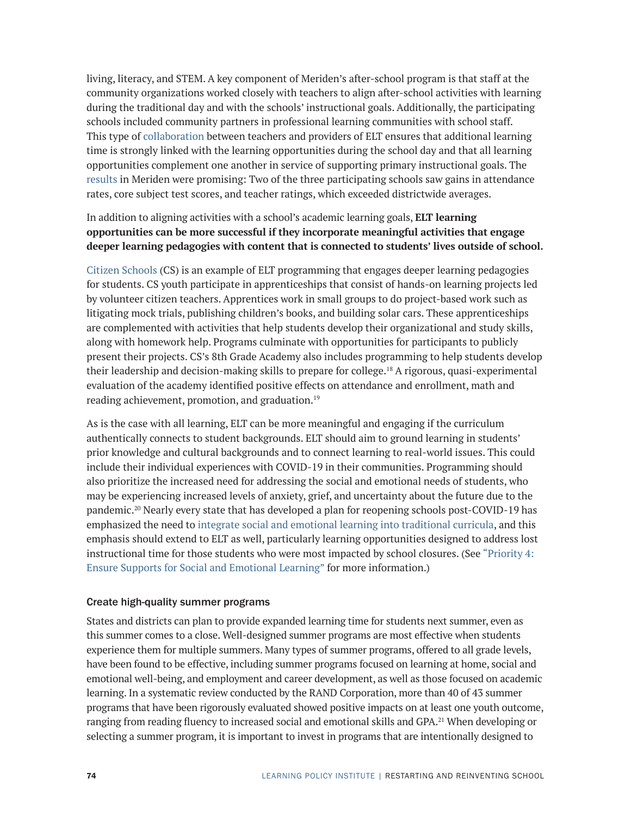living, literacy, and STEM. A key component of Meriden's after-school program is that staff at the community organizations worked closely with teachers to align after-school activities with learning during the traditional day and with the schools' instructional goals. Additionally, the participating schools included community partners in professional learning communities with school staff. This type of [collaboration](http://www.afterschoolalliance.org/documents/Blueprint-for-How-Afterschool-Programs-Community-Partners-Can-Help.pdf) between teachers and providers of ELT ensures that additional learning time is strongly linked with the learning opportunities during the school day and that all learning opportunities complement one another in service of supporting primary instructional goals. The [results](http://www.communityschools.org/assets/1/AssetManager/Meriden%20Public%20Schools_%20Redesigning%20the%20School%20Day%20with%20Community%20Partners%20in%20Mind.pdf) in Meriden were promising: Two of the three participating schools saw gains in attendance rates, core subject test scores, and teacher ratings, which exceeded districtwide averages.

## In addition to aligning activities with a school's academic learning goals, **ELT learning opportunities can be more successful if they incorporate meaningful activities that engage deeper learning pedagogies with content that is connected to students' lives outside of school.**

[Citizen Schools](https://www.citizenschools.org/) (CS) is an example of ELT programming that engages deeper learning pedagogies for students. CS youth participate in apprenticeships that consist of hands-on learning projects led by volunteer citizen teachers. Apprentices work in small groups to do project-based work such as litigating mock trials, publishing children's books, and building solar cars. These apprenticeships are complemented with activities that help students develop their organizational and study skills, along with homework help. Programs culminate with opportunities for participants to publicly present their projects. CS's 8th Grade Academy also includes programming to help students develop their leadership and decision-making skills to prepare for college.18 A rigorous, quasi-experimental evaluation of the academy identified positive effects on attendance and enrollment, math and reading achievement, promotion, and graduation.19

As is the case with all learning, ELT can be more meaningful and engaging if the curriculum authentically connects to student backgrounds. ELT should aim to ground learning in students' prior knowledge and cultural backgrounds and to connect learning to real-world issues. This could include their individual experiences with COVID-19 in their communities. Programming should also prioritize the increased need for addressing the social and emotional needs of students, who may be experiencing increased levels of anxiety, grief, and uncertainty about the future due to the pandemic.<sup>20</sup> Nearly every state that has developed a plan for reopening schools post-COVID-19 has emphasized the need to [integrate social and emotional learning into traditional curricula](https://learningpolicyinstitute.org/sites/default/files/Integrating_Social_Emotional_Learning_INFOGRAPHIC.pdf), and this emphasis should extend to ELT as well, particularly learning opportunities designed to address lost instructional time for those students who were most impacted by school closures. (See "Priority 4: Ensure Supports for Social and Emotional Learning" for more information.)

### Create high-quality summer programs

States and districts can plan to provide expanded learning time for students next summer, even as this summer comes to a close. Well-designed summer programs are most effective when students experience them for multiple summers. Many types of summer programs, offered to all grade levels, have been found to be effective, including summer programs focused on learning at home, social and emotional well-being, and employment and career development, as well as those focused on academic learning. In a systematic review conducted by the RAND Corporation, more than 40 of 43 summer programs that have been rigorously evaluated showed positive impacts on at least one youth outcome, ranging from reading fluency to increased social and emotional skills and GPA.<sup>21</sup> When developing or selecting a summer program, it is important to invest in programs that are intentionally designed to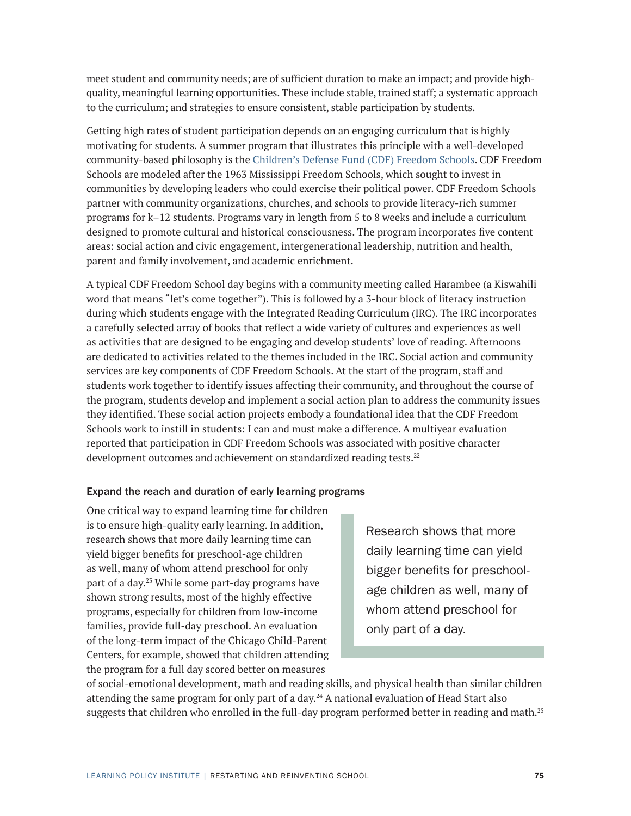meet student and community needs; are of sufficient duration to make an impact; and provide highquality, meaningful learning opportunities. These include stable, trained staff; a systematic approach to the curriculum; and strategies to ensure consistent, stable participation by students.

Getting high rates of student participation depends on an engaging curriculum that is highly motivating for students. A summer program that illustrates this principle with a well-developed community-based philosophy is the [Children's Defense Fund \(CDF\) Freedom Schools.](https://www.childrensdefense.org/programs/cdf-freedom-schools/) CDF Freedom Schools are modeled after the 1963 Mississippi Freedom Schools, which sought to invest in communities by developing leaders who could exercise their political power. CDF Freedom Schools partner with community organizations, churches, and schools to provide literacy-rich summer programs for k–12 students. Programs vary in length from 5 to 8 weeks and include a curriculum designed to promote cultural and historical consciousness. The program incorporates five content areas: social action and civic engagement, intergenerational leadership, nutrition and health, parent and family involvement, and academic enrichment.

A typical CDF Freedom School day begins with a community meeting called Harambee (a Kiswahili word that means "let's come together"). This is followed by a 3-hour block of literacy instruction during which students engage with the Integrated Reading Curriculum (IRC). The IRC incorporates a carefully selected array of books that reflect a wide variety of cultures and experiences as well as activities that are designed to be engaging and develop students' love of reading. Afternoons are dedicated to activities related to the themes included in the IRC. Social action and community services are key components of CDF Freedom Schools. At the start of the program, staff and students work together to identify issues affecting their community, and throughout the course of the program, students develop and implement a social action plan to address the community issues they identified. These social action projects embody a foundational idea that the CDF Freedom Schools work to instill in students: I can and must make a difference. A multiyear evaluation reported that participation in CDF Freedom Schools was associated with positive character development outcomes and achievement on standardized reading tests.<sup>22</sup>

### Expand the reach and duration of early learning programs

One critical way to expand learning time for children is to ensure high-quality early learning. In addition, research shows that more daily learning time can yield bigger benefits for preschool-age children as well, many of whom attend preschool for only part of a day.23 While some part-day programs have shown strong results, most of the highly effective programs, especially for children from low-income families, provide full-day preschool. An evaluation of the long-term impact of the Chicago Child-Parent Centers, for example, showed that children attending the program for a full day scored better on measures

Research shows that more daily learning time can yield bigger benefits for preschoolage children as well, many of whom attend preschool for only part of a day.

of social-emotional development, math and reading skills, and physical health than similar children attending the same program for only part of a day.24 A national evaluation of Head Start also suggests that children who enrolled in the full-day program performed better in reading and math.<sup>25</sup>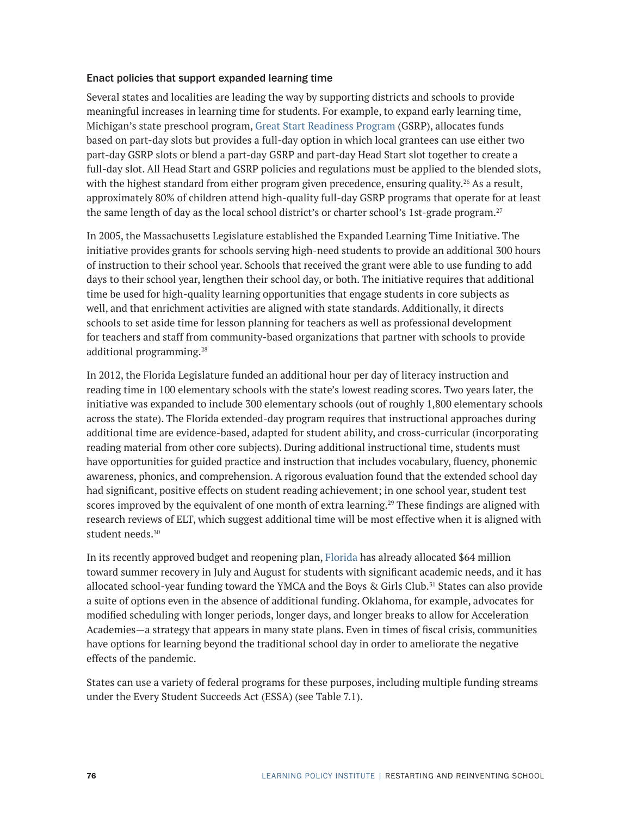#### Enact policies that support expanded learning time

Several states and localities are leading the way by supporting districts and schools to provide meaningful increases in learning time for students. For example, to expand early learning time, Michigan's state preschool program, [Great Start Readiness Program](https://www.michigan.gov/mde/0,4615,7-140-63533_50451---,00.html) (GSRP), allocates funds based on part-day slots but provides a full-day option in which local grantees can use either two part-day GSRP slots or blend a part-day GSRP and part-day Head Start slot together to create a full-day slot. All Head Start and GSRP policies and regulations must be applied to the blended slots, with the highest standard from either program given precedence, ensuring quality.<sup>26</sup> As a result, approximately 80% of children attend high-quality full-day GSRP programs that operate for at least the same length of day as the local school district's or charter school's 1st-grade program.<sup>27</sup>

In 2005, the Massachusetts Legislature established the Expanded Learning Time Initiative. The initiative provides grants for schools serving high-need students to provide an additional 300 hours of instruction to their school year. Schools that received the grant were able to use funding to add days to their school year, lengthen their school day, or both. The initiative requires that additional time be used for high-quality learning opportunities that engage students in core subjects as well, and that enrichment activities are aligned with state standards. Additionally, it directs schools to set aside time for lesson planning for teachers as well as professional development for teachers and staff from community-based organizations that partner with schools to provide additional programming.<sup>28</sup>

In 2012, the Florida Legislature funded an additional hour per day of literacy instruction and reading time in 100 elementary schools with the state's lowest reading scores. Two years later, the initiative was expanded to include 300 elementary schools (out of roughly 1,800 elementary schools across the state). The Florida extended-day program requires that instructional approaches during additional time are evidence-based, adapted for student ability, and cross-curricular (incorporating reading material from other core subjects). During additional instructional time, students must have opportunities for guided practice and instruction that includes vocabulary, fluency, phonemic awareness, phonics, and comprehension. A rigorous evaluation found that the extended school day had significant, positive effects on student reading achievement; in one school year, student test scores improved by the equivalent of one month of extra learning.<sup>29</sup> These findings are aligned with research reviews of ELT, which suggest additional time will be most effective when it is aligned with student needs.<sup>30</sup>

In its recently approved budget and reopening plan, [Florida](http://www.hunt-institute.org/covid-19-resources/geer-fund-utilization/) has already allocated \$64 million toward summer recovery in July and August for students with significant academic needs, and it has allocated school-year funding toward the YMCA and the Boys & Girls Club.31 States can also provide a suite of options even in the absence of additional funding. Oklahoma, for example, advocates for modified scheduling with longer periods, longer days, and longer breaks to allow for Acceleration Academies—a strategy that appears in many state plans. Even in times of fiscal crisis, communities have options for learning beyond the traditional school day in order to ameliorate the negative effects of the pandemic.

States can use a variety of federal programs for these purposes, including multiple funding streams under the Every Student Succeeds Act (ESSA) (see Table 7.1).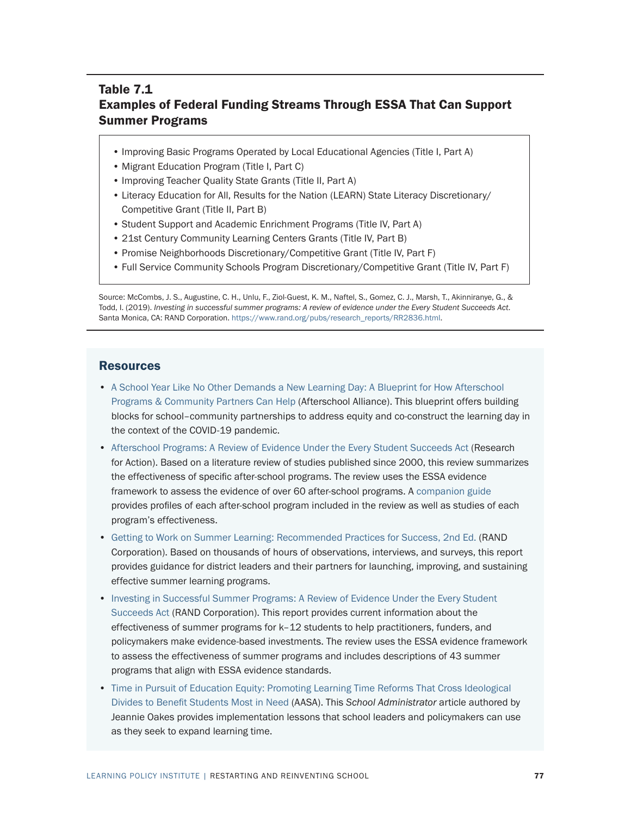## Table 7.1 Examples of Federal Funding Streams Through ESSA That Can Support Summer Programs

- Improving Basic Programs Operated by Local Educational Agencies (Title I, Part A)
- Migrant Education Program (Title I, Part C)
- Improving Teacher Quality State Grants (Title II, Part A)
- Literacy Education for All, Results for the Nation (LEARN) State Literacy Discretionary/ Competitive Grant (Title II, Part B)
- Student Support and Academic Enrichment Programs (Title IV, Part A)
- 21st Century Community Learning Centers Grants (Title IV, Part B)
- Promise Neighborhoods Discretionary/Competitive Grant (Title IV, Part F)
- Full Service Community Schools Program Discretionary/Competitive Grant (Title IV, Part F)

Source: McCombs, J. S., Augustine, C. H., Unlu, F., Ziol-Guest, K. M., Naftel, S., Gomez, C. J., Marsh, T., Akinniranye, G., & Todd, I. (2019). *Investing in successful summer programs: A review of evidence under the Every Student Succeeds Act*. Santa Monica, CA: RAND Corporation. [https://www.rand.org/pubs/research\\_reports/RR2836.html](https://www.rand.org/pubs/research_reports/RR2836.html).

#### **Resources**

- [A School Year Like No Other Demands a New Learning Day: A Blueprint for How Afterschool](http://www.afterschoolalliance.org/documents/Blueprint-for-How-Afterschool-Programs-Community-Partners-Can-Help.pdf)  [Programs & Community Partners Can Help](http://www.afterschoolalliance.org/documents/Blueprint-for-How-Afterschool-Programs-Community-Partners-Can-Help.pdf) (Afterschool Alliance). This blueprint offers building blocks for school–community partnerships to address equity and co-construct the learning day in the context of the COVID-19 pandemic.
- [Afterschool Programs: A Review of Evidence Under the Every Student Succeeds Act](https://www.wallacefoundation.org/knowledge-center/Documents/Afterschool-Programs-A-Review-of-Evidence-Under-the-Every-Student-Succeeds-Act.pdf) (Research for Action). Based on a literature review of studies published since 2000, this review summarizes the effectiveness of specific after-school programs. The review uses the ESSA evidence framework to assess the evidence of over 60 after-school programs. A [companion guide](https://www.wallacefoundation.org/knowledge-center/Documents/Afterschool-Programs-A-Review-of-Evidence-Under-ESSA-Companion-Guide.pdf) provides profiles of each after-school program included in the review as well as studies of each program's effectiveness.
- [Getting to Work on Summer Learning: Recommended Practices for Success, 2nd Ed.](https://www.rand.org/pubs/research_reports/RR366-1.html) (RAND Corporation). Based on thousands of hours of observations, interviews, and surveys, this report provides guidance for district leaders and their partners for launching, improving, and sustaining effective summer learning programs.
- [Investing in Successful Summer Programs: A Review of Evidence Under the Every Student](https://www.rand.org/pubs/research_reports/RR2836.html)  [Succeeds Act](https://www.rand.org/pubs/research_reports/RR2836.html) (RAND Corporation). This report provides current information about the effectiveness of summer programs for k–12 students to help practitioners, funders, and policymakers make evidence-based investments. The review uses the ESSA evidence framework to assess the effectiveness of summer programs and includes descriptions of 43 summer programs that align with ESSA evidence standards.
- [Time in Pursuit of Education Equity: Promoting Learning Time Reforms That Cross Ideological](http://my.aasa.org/AASA/Resources/SAMag/2018/May18/Oakes.aspx)  [Divides to Benefit Students Most in Need](http://my.aasa.org/AASA/Resources/SAMag/2018/May18/Oakes.aspx) (AASA). This *School Administrator* article authored by Jeannie Oakes provides implementation lessons that school leaders and policymakers can use as they seek to expand learning time.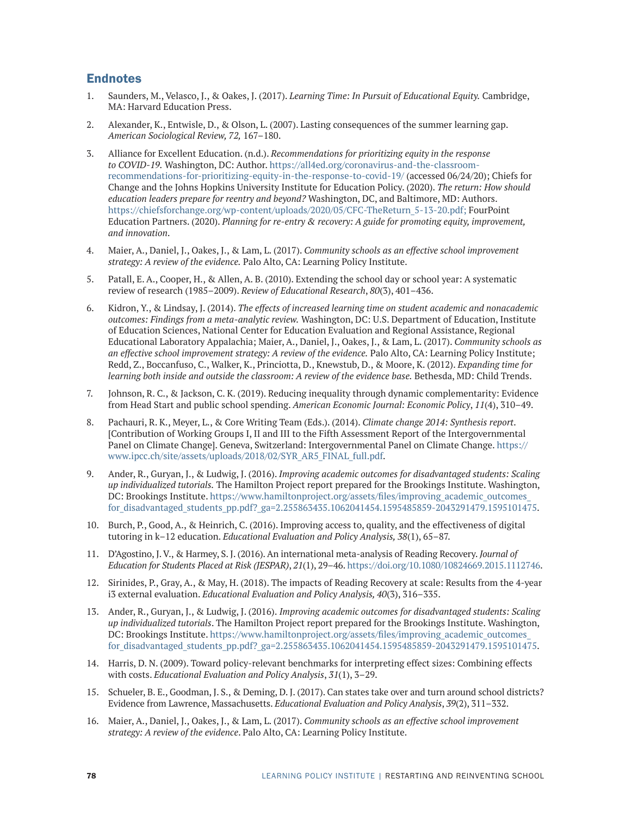## **Endnotes**

- 1. Saunders, M., Velasco, J., & Oakes, J. (2017). *Learning Time: In Pursuit of Educational Equity.* Cambridge, MA: Harvard Education Press.
- 2. Alexander, K., Entwisle, D., & Olson, L. (2007). Lasting consequences of the summer learning gap. *American Sociological Review, 72,* 167–180.
- 3. Alliance for Excellent Education. (n.d.). *Recommendations for prioritizing equity in the response to COVID-19.* Washington, DC: Author. [https://all4ed.org/coronavirus-and-the-classroom](https://all4ed.org/coronavirus-and-the-classroom-recommendations-for-prioritizing-equity-in-the-response-to-covid-19/)[recommendations-for-prioritizing-equity-in-the-response-to-covid-19/](https://all4ed.org/coronavirus-and-the-classroom-recommendations-for-prioritizing-equity-in-the-response-to-covid-19/) (accessed 06/24/20); Chiefs for Change and the Johns Hopkins University Institute for Education Policy. (2020). *The return: How should education leaders prepare for reentry and beyond?* Washington, DC, and Baltimore, MD: Authors. [https://chiefsforchange.org/wp-content/uploads/2020/05/CFC-TheReturn\\_5-13-20.pdf;](https://chiefsforchange.org/wp-content/uploads/2020/05/CFC-TheReturn_5-13-20.pdf) FourPoint Education Partners. (2020). *Planning for re-entry & recovery: A guide for promoting equity, improvement, and innovation*.
- 4. Maier, A., Daniel, J., Oakes, J., & Lam, L. (2017). *Community schools as an effective school improvement strategy: A review of the evidence.* Palo Alto, CA: Learning Policy Institute.
- 5. Patall, E. A., Cooper, H., & Allen, A. B. (2010). Extending the school day or school year: A systematic review of research (1985–2009). *Review of Educational Research*, *80*(3), 401–436.
- 6. Kidron, Y., & Lindsay, J. (2014). *The effects of increased learning time on student academic and nonacademic outcomes: Findings from a meta-analytic review.* Washington, DC: U.S. Department of Education, Institute of Education Sciences, National Center for Education Evaluation and Regional Assistance, Regional Educational Laboratory Appalachia; Maier, A., Daniel, J., Oakes, J., & Lam, L. (2017). *Community schools as an effective school improvement strategy: A review of the evidence.* Palo Alto, CA: Learning Policy Institute; Redd, Z., Boccanfuso, C., Walker, K., Princiotta, D., Knewstub, D., & Moore, K. (2012). *Expanding time for learning both inside and outside the classroom: A review of the evidence base.* Bethesda, MD: Child Trends.
- 7. Johnson, R. C., & Jackson, C. K. (2019). Reducing inequality through dynamic complementarity: Evidence from Head Start and public school spending. *American Economic Journal: Economic Policy*, *11*(4), 310–49.
- 8. Pachauri, R. K., Meyer, L., & Core Writing Team (Eds.). (2014). *Climate change 2014: Synthesis report*. [Contribution of Working Groups I, II and III to the Fifth Assessment Report of the Intergovernmental Panel on Climate Change]. Geneva, Switzerland: Intergovernmental Panel on Climate Change. [https://](https://www.ipcc.ch/site/assets/uploads/2018/02/SYR_AR5_FINAL_full.pdf) [www.ipcc.ch/site/assets/uploads/2018/02/SYR\\_AR5\\_FINAL\\_full.pdf](https://www.ipcc.ch/site/assets/uploads/2018/02/SYR_AR5_FINAL_full.pdf).
- 9. Ander, R., Guryan, J., & Ludwig, J. (2016). *Improving academic outcomes for disadvantaged students: Scaling up individualized tutorials.* The Hamilton Project report prepared for the Brookings Institute. Washington, DC: Brookings Institute. [https://www.hamiltonproject.org/assets/files/improving\\_academic\\_outcomes\\_](https://www.hamiltonproject.org/assets/files/improving_academic_outcomes_for_disadvantaged_students_pp.pdf?_ga=2.255863435.1062041454.1595485859-2043291479.1595101475) [for\\_disadvantaged\\_students\\_pp.pdf?\\_ga=2.255863435.1062041454.1595485859-2043291479.1595101475](https://www.hamiltonproject.org/assets/files/improving_academic_outcomes_for_disadvantaged_students_pp.pdf?_ga=2.255863435.1062041454.1595485859-2043291479.1595101475).
- 10. Burch, P., Good, A., & Heinrich, C. (2016). Improving access to, quality, and the effectiveness of digital tutoring in k–12 education. *Educational Evaluation and Policy Analysis, 38*(1), 65–87.
- 11. D'Agostino, J. V., & Harmey, S. J. (2016). An international meta-analysis of Reading Recovery. *Journal of Education for Students Placed at Risk (JESPAR)*, *21*(1), 29–46.<https://doi.org/10.1080/10824669.2015.1112746>.
- 12. Sirinides, P., Gray, A., & May, H. (2018). The impacts of Reading Recovery at scale: Results from the 4-year i3 external evaluation. *Educational Evaluation and Policy Analysis, 40*(3), 316–335.
- 13. Ander, R., Guryan, J., & Ludwig, J. (2016). *Improving academic outcomes for disadvantaged students: Scaling up individualized tutorials*. The Hamilton Project report prepared for the Brookings Institute. Washington, DC: Brookings Institute. [https://www.hamiltonproject.org/assets/files/improving\\_academic\\_outcomes\\_](https://www.hamiltonproject.org/assets/files/improving_academic_outcomes_for_disadvantaged_students_pp.pdf?_ga=2.255863435.1062041454.1595485859-2043291479.1595101475) for disadvantaged students pp.pdf? ga=2.255863435.1062041454.1595485859-2043291479.1595101475.
- 14. Harris, D. N. (2009). Toward policy-relevant benchmarks for interpreting effect sizes: Combining effects with costs. *Educational Evaluation and Policy Analysis*, *31*(1), 3–29.
- 15. Schueler, B. E., Goodman, J. S., & Deming, D. J. (2017). Can states take over and turn around school districts? Evidence from Lawrence, Massachusetts. *Educational Evaluation and Policy Analysis*, *39*(2), 311–332.
- 16. Maier, A., Daniel, J., Oakes, J., & Lam, L. (2017). *Community schools as an effective school improvement strategy: A review of the evidence*. Palo Alto, CA: Learning Policy Institute.